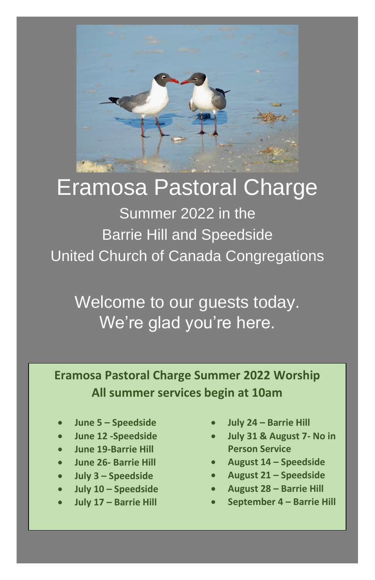

# Eramosa Pastoral Charge

Summer 2022 in the Barrie Hill and Speedside United Church of Canada Congregations

Welcome to our guests today. We're glad you're here.

**Eramosa Pastoral Charge Summer 2022 Worship All summer services begin at 10am**

- **June 5 – Speedside**
- **June 12 -Speedside**
- **June 19-Barrie Hill**
- **June 26- Barrie Hill**
- **July 3 – Speedside**
- **July 10 – Speedside**
- **July 17 – Barrie Hill**
- **July 24 – Barrie Hill**
- **July 31 & August 7- No in Person Service**
- **August 14 – Speedside**
- **August 21 – Speedside**
- **August 28 – Barrie Hill**
- **September 4 – Barrie Hill**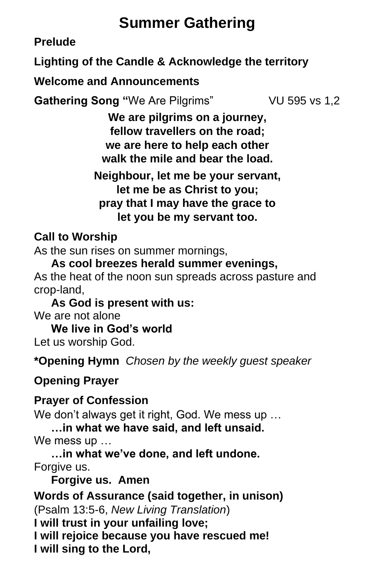# **Summer Gathering**

**Prelude**

**Lighting of the Candle & Acknowledge the territory**

**Welcome and Announcements** 

**Gathering Song "We Are Pilgrims" VU 595 vs 1,2** 

**We are pilgrims on a journey, fellow travellers on the road; we are here to help each other walk the mile and bear the load.**

**Neighbour, let me be your servant, let me be as Christ to you; pray that I may have the grace to let you be my servant too.**

#### **Call to Worship**

As the sun rises on summer mornings,

**As cool breezes herald summer evenings,**

As the heat of the noon sun spreads across pasture and crop-land,

**As God is present with us:** We are not alone

**We live in God's world** Let us worship God.

**\*Opening Hymn** *Chosen by the weekly guest speaker*

**Opening Prayer** 

#### **Prayer of Confession**

We don't always get it right, God. We mess up … **…in what we have said, and left unsaid.** 

We mess up …

**…in what we've done, and left undone.**  Forgive us.

**Forgive us. Amen** 

**Words of Assurance (said together, in unison)** (Psalm 13:5-6, *New Living Translation*) **I will trust in your unfailing love; I will rejoice because you have rescued me! I will sing to the Lord,**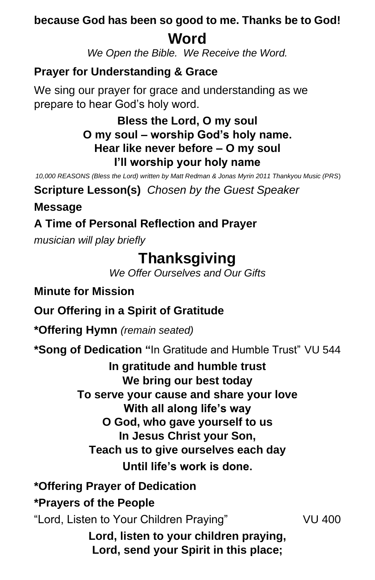### **because God has been so good to me. Thanks be to God! Word**

*We Open the Bible. We Receive the Word.*

## **Prayer for Understanding & Grace**

We sing our prayer for grace and understanding as we prepare to hear God's holy word.

#### **Bless the Lord, O my soul O my soul – worship God's holy name. Hear like never before – O my soul I'll worship your holy name**

*10,000 REASONS (Bless the Lord) written by Matt Redman & Jonas Myrin 2011 Thankyou Music (PRS*)

**Scripture Lesson(s)** *Chosen by the Guest Speaker*

**Message**

### **A Time of Personal Reflection and Prayer**

*musician will play briefly*

# **Thanksgiving**

*We Offer Ourselves and Our Gifts*

**Minute for Mission**

## **Our Offering in a Spirit of Gratitude**

**\*Offering Hymn** *(remain seated)*

**\*Song of Dedication "**In Gratitude and Humble Trust" VU 544

**In gratitude and humble trust We bring our best today To serve your cause and share your love With all along life's way O God, who gave yourself to us In Jesus Christ your Son, Teach us to give ourselves each day Until life's work is done.**

**\*Offering Prayer of Dedication**

#### **\*Prayers of the People**

"Lord, Listen to Your Children Praying" VU 400

**Lord, listen to your children praying, Lord, send your Spirit in this place;**